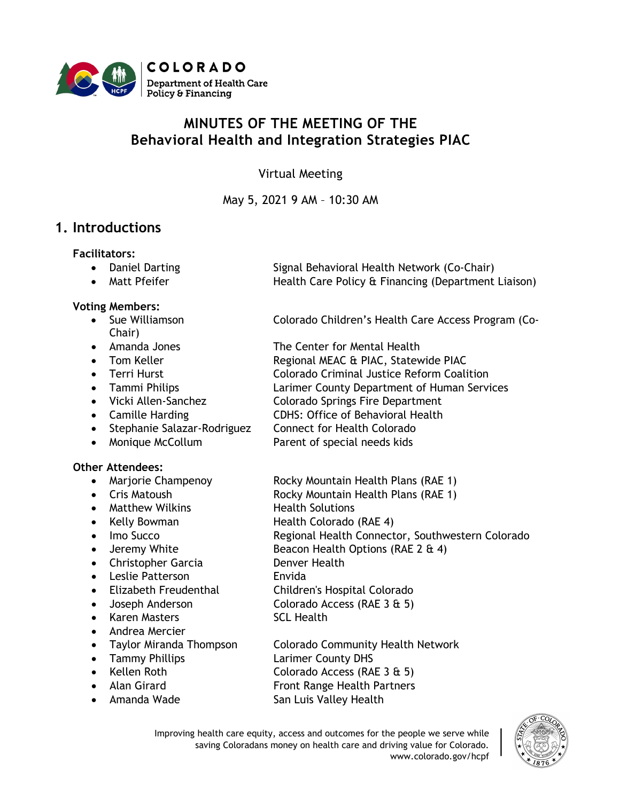

# **MINUTES OF THE MEETING OF THE Behavioral Health and Integration Strategies PIAC**

Virtual Meeting

May 5, 2021 9 AM – 10:30 AM

## **1. Introductions**

#### **Facilitators:**

- Daniel Darting Signal Behavioral Health Network (Co-Chair)
- Matt Pfeifer **Health Care Policy & Financing (Department Liaison)**

#### **Voting Members:**

- Chair)
- 
- 
- 
- 
- 
- 
- Stephanie Salazar-Rodriguez Connect for Health Colorado
- 

#### **Other Attendees:**

- 
- 
- Matthew Wilkins **Health Solutions**
- 
- 
- 
- Christopher Garcia **Denver Health**
- Leslie Patterson **Envida**
- 
- 
- Karen Masters SCL Health
- Andrea Mercier
- 
- 
- 
- 
- 

• Sue Williamson Colorado Children's Health Care Access Program (Co-

- Amanda Jones The Center for Mental Health
- Tom Keller **Regional MEAC & PIAC, Statewide PIAC**
- Terri Hurst **Colorado Criminal Justice Reform Coalition**
- Tammi Philips Larimer County Department of Human Services
- Vicki Allen-Sanchez Colorado Springs Fire Department
- Camille Harding CDHS: Office of Behavioral Health
	-
- Monique McCollum Parent of special needs kids
- Marjorie Champenoy Rocky Mountain Health Plans (RAE 1)
- Cris Matoush **Rocky Mountain Health Plans (RAE 1)** 
	-
- Kelly Bowman Health Colorado (RAE 4)
- Imo Succo **Regional Health Connector, Southwestern Colorado**
- Jeremy White Beacon Health Options (RAE 2 & 4)
	-
	-
- Elizabeth Freudenthal Children's Hospital Colorado
	- Joseph Anderson Colorado Access (RAE 3 & 5)
		-
	- Taylor Miranda Thompson Colorado Community Health Network
- Tammy Phillips **Larimer County DHS**
- Kellen Roth Colorado Access (RAE 3 & 5)
- Alan Girard **Front Range Health Partners**
- Amanda Wade San Luis Valley Health

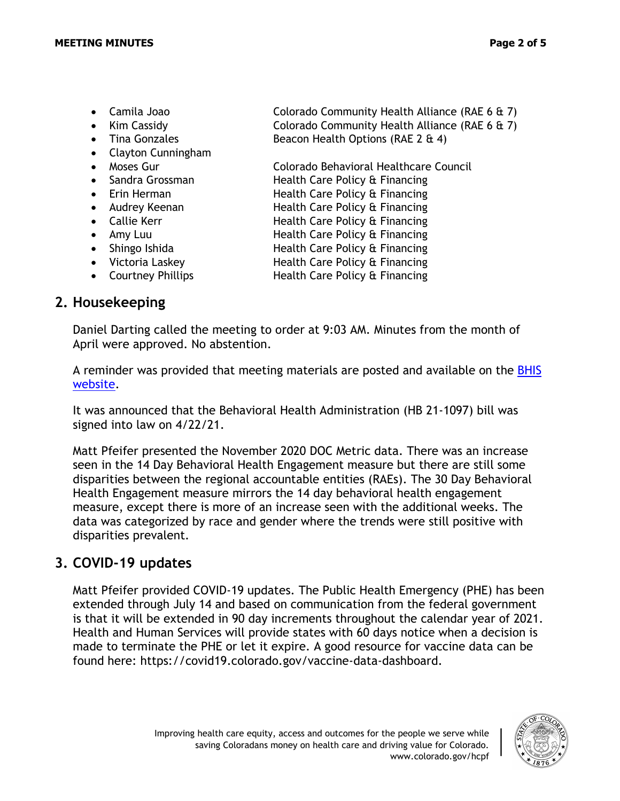- 
- 
- 
- Clayton Cunningham
- 
- Sandra Grossman **Health Care Policy & Financing**
- Erin Herman **Health Care Policy & Financing**
- 
- 
- 
- 
- 
- 

### **2. Housekeeping**

• Camila Joao Colorado Community Health Alliance (RAE 6 & 7) • Kim Cassidy **Colorado Community Health Alliance (RAE 6 & 7)** • Tina Gonzales Beacon Health Options (RAE 2 & 4)

• Moses Gur Colorado Behavioral Healthcare Council

- 
- Audrey Keenan **Health Care Policy & Financing**
- Callie Kerr **Health Care Policy & Financing**
- Amy Luu Health Care Policy & Financing
- Shingo Ishida **Health Care Policy & Financing**
- Victoria Laskey **Health Care Policy & Financing**
- Courtney Phillips **Health Care Policy & Financing**

Daniel Darting called the meeting to order at 9:03 AM. Minutes from the month of April were approved. No abstention.

A reminder was provided that meeting materials are posted and available on the [BHIS](https://hcpf.colorado.gov/behavioral-health-and-integration-strategies-subcommittee)  [website.](https://hcpf.colorado.gov/behavioral-health-and-integration-strategies-subcommittee)

It was announced that the Behavioral Health Administration (HB 21-1097) bill was signed into law on 4/22/21.

Matt Pfeifer presented the November 2020 DOC Metric data. There was an increase seen in the 14 Day Behavioral Health Engagement measure but there are still some disparities between the regional accountable entities (RAEs). The 30 Day Behavioral Health Engagement measure mirrors the 14 day behavioral health engagement measure, except there is more of an increase seen with the additional weeks. The data was categorized by race and gender where the trends were still positive with disparities prevalent.

## **3. COVID-19 updates**

Matt Pfeifer provided COVID-19 updates. The Public Health Emergency (PHE) has been extended through July 14 and based on communication from the federal government is that it will be extended in 90 day increments throughout the calendar year of 2021. Health and Human Services will provide states with 60 days notice when a decision is made to terminate the PHE or let it expire. A good resource for vaccine data can be found here: https://covid19.colorado.gov/vaccine-data-dashboard.

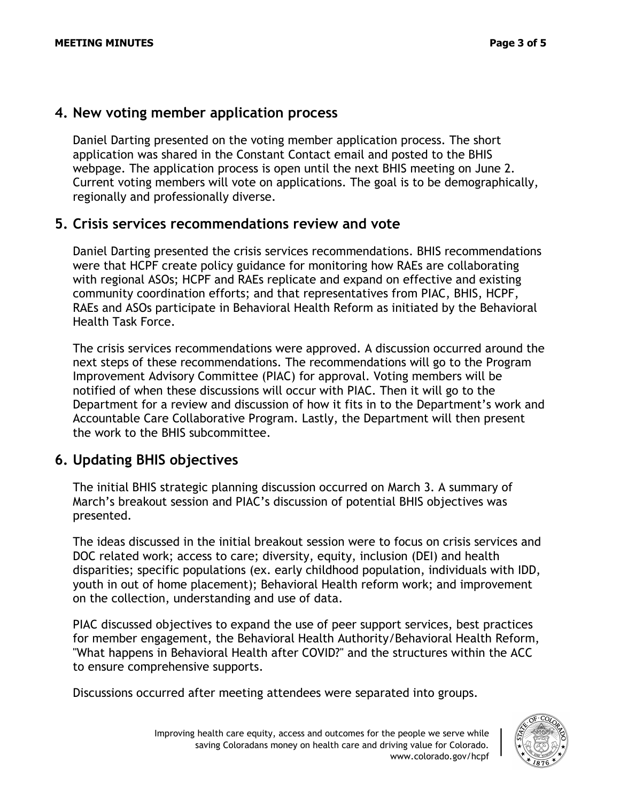### **4. New voting member application process**

Daniel Darting presented on the voting member application process. The short application was shared in the Constant Contact email and posted to the BHIS webpage. The application process is open until the next BHIS meeting on June 2. Current voting members will vote on applications. The goal is to be demographically, regionally and professionally diverse.

### **5. Crisis services recommendations review and vote**

Daniel Darting presented the crisis services recommendations. BHIS recommendations were that HCPF create policy guidance for monitoring how RAEs are collaborating with regional ASOs; HCPF and RAEs replicate and expand on effective and existing community coordination efforts; and that representatives from PIAC, BHIS, HCPF, RAEs and ASOs participate in Behavioral Health Reform as initiated by the Behavioral Health Task Force.

The crisis services recommendations were approved. A discussion occurred around the next steps of these recommendations. The recommendations will go to the Program Improvement Advisory Committee (PIAC) for approval. Voting members will be notified of when these discussions will occur with PIAC. Then it will go to the Department for a review and discussion of how it fits in to the Department's work and Accountable Care Collaborative Program. Lastly, the Department will then present the work to the BHIS subcommittee.

## **6. Updating BHIS objectives**

The initial BHIS strategic planning discussion occurred on March 3. A summary of March's breakout session and PIAC's discussion of potential BHIS objectives was presented.

The ideas discussed in the initial breakout session were to focus on crisis services and DOC related work; access to care; diversity, equity, inclusion (DEI) and health disparities; specific populations (ex. early childhood population, individuals with IDD, youth in out of home placement); Behavioral Health reform work; and improvement on the collection, understanding and use of data.

PIAC discussed objectives to expand the use of peer support services, best practices for member engagement, the Behavioral Health Authority/Behavioral Health Reform, "What happens in Behavioral Health after COVID?" and the structures within the ACC to ensure comprehensive supports.

Discussions occurred after meeting attendees were separated into groups.

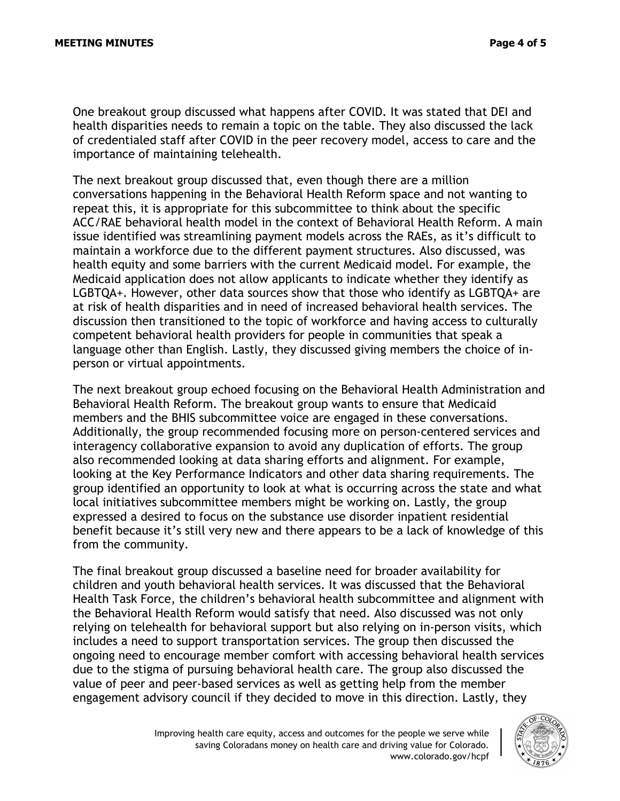One breakout group discussed what happens after COVID. It was stated that DEI and health disparities needs to remain a topic on the table. They also discussed the lack of credentialed staff after COVID in the peer recovery model, access to care and the importance of maintaining telehealth.

The next breakout group discussed that, even though there are a million conversations happening in the Behavioral Health Reform space and not wanting to repeat this, it is appropriate for this subcommittee to think about the specific ACC/RAE behavioral health model in the context of Behavioral Health Reform. A main issue identified was streamlining payment models across the RAEs, as it's difficult to maintain a workforce due to the different payment structures. Also discussed, was health equity and some barriers with the current Medicaid model. For example, the Medicaid application does not allow applicants to indicate whether they identify as LGBTQA+. However, other data sources show that those who identify as LGBTQA+ are at risk of health disparities and in need of increased behavioral health services. The discussion then transitioned to the topic of workforce and having access to culturally competent behavioral health providers for people in communities that speak a language other than English. Lastly, they discussed giving members the choice of inperson or virtual appointments.

The next breakout group echoed focusing on the Behavioral Health Administration and Behavioral Health Reform. The breakout group wants to ensure that Medicaid members and the BHIS subcommittee voice are engaged in these conversations. Additionally, the group recommended focusing more on person-centered services and interagency collaborative expansion to avoid any duplication of efforts. The group also recommended looking at data sharing efforts and alignment. For example, looking at the Key Performance Indicators and other data sharing requirements. The group identified an opportunity to look at what is occurring across the state and what local initiatives subcommittee members might be working on. Lastly, the group expressed a desired to focus on the substance use disorder inpatient residential benefit because it's still very new and there appears to be a lack of knowledge of this from the community.

The final breakout group discussed a baseline need for broader availability for children and youth behavioral health services. It was discussed that the Behavioral Health Task Force, the children's behavioral health subcommittee and alignment with the Behavioral Health Reform would satisfy that need. Also discussed was not only relying on telehealth for behavioral support but also relying on in-person visits, which includes a need to support transportation services. The group then discussed the ongoing need to encourage member comfort with accessing behavioral health services due to the stigma of pursuing behavioral health care. The group also discussed the value of peer and peer-based services as well as getting help from the member engagement advisory council if they decided to move in this direction. Lastly, they